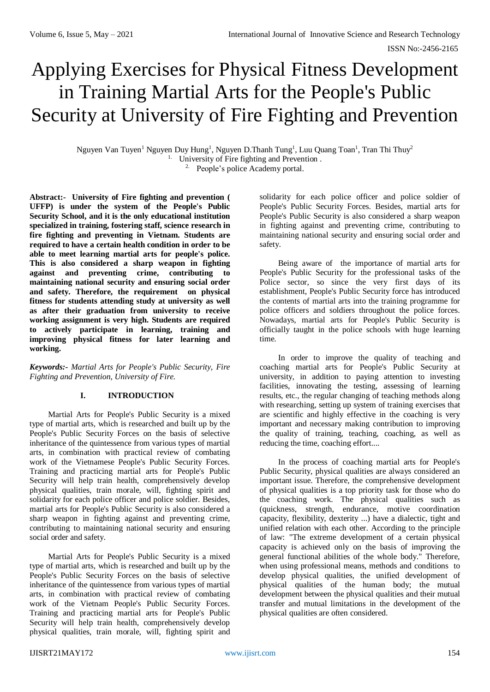# Applying Exercises for Physical Fitness Development in Training Martial Arts for the People's Public Security at University of Fire Fighting and Prevention

Nguyen Van Tuyen<sup>1</sup> Nguyen Duy Hung<sup>1</sup>, Nguyen D.Thanh Tung<sup>1</sup>, Luu Quang Toan<sup>1</sup>, Tran Thi Thuy<sup>2</sup> <sup>1.</sup> University of Fire fighting and Prevention. 2. People's police Academy portal.

**Abstract:- University of Fire fighting and prevention ( UFFP) is under the system of the People's Public Security School, and it is the only educational institution specialized in training, fostering staff, science research in fire fighting and preventing in Vietnam. Students are required to have a certain health condition in order to be able to meet learning martial arts for people's police. This is also considered a sharp weapon in fighting against and preventing crime, contributing to maintaining national security and ensuring social order and safety. Therefore, the requirement on physical fitness for students attending study at university as well as after their graduation from university to receive working assignment is very high. Students are required to actively participate in learning, training and improving physical fitness for later learning and working.**

*Keywords:- Martial Arts for People's Public Security, Fire Fighting and Prevention, University of Fire.*

# **I. INTRODUCTION**

Martial Arts for People's Public Security is a mixed type of martial arts, which is researched and built up by the People's Public Security Forces on the basis of selective inheritance of the quintessence from various types of martial arts, in combination with practical review of combating work of the Vietnamese People's Public Security Forces. Training and practicing martial arts for People's Public Security will help train health, comprehensively develop physical qualities, train morale, will, fighting spirit and solidarity for each police officer and police soldier. Besides, martial arts for People's Public Security is also considered a sharp weapon in fighting against and preventing crime, contributing to maintaining national security and ensuring social order and safety.

Martial Arts for People's Public Security is a mixed type of martial arts, which is researched and built up by the People's Public Security Forces on the basis of selective inheritance of the quintessence from various types of martial arts, in combination with practical review of combating work of the Vietnam People's Public Security Forces. Training and practicing martial arts for People's Public Security will help train health, comprehensively develop physical qualities, train morale, will, fighting spirit and

solidarity for each police officer and police soldier of People's Public Security Forces. Besides, martial arts for People's Public Security is also considered a sharp weapon in fighting against and preventing crime, contributing to maintaining national security and ensuring social order and safety.

Being aware of the importance of martial arts for People's Public Security for the professional tasks of the Police sector, so since the very first days of its establishment, People's Public Security force has introduced the contents of martial arts into the training programme for police officers and soldiers throughout the police forces. Nowadays, martial arts for People's Public Security is officially taught in the police schools with huge learning time.

In order to improve the quality of teaching and coaching martial arts for People's Public Security at university, in addition to paying attention to investing facilities, innovating the testing, assessing of learning results, etc., the regular changing of teaching methods along with researching, setting up system of training exercises that are scientific and highly effective in the coaching is very important and necessary making contribution to improving the quality of training, teaching, coaching, as well as reducing the time, coaching effort....

In the process of coaching martial arts for People's Public Security, physical qualities are always considered an important issue. Therefore, the comprehensive development of physical qualities is a top priority task for those who do the coaching work. The physical qualities such as (quickness, strength, endurance, motive coordination capacity, flexibility, dexterity ...) have a dialectic, tight and unified relation with each other. According to the principle of law: "The extreme development of a certain physical capacity is achieved only on the basis of improving the general functional abilities of the whole body." Therefore, when using professional means, methods and conditions to develop physical qualities, the unified development of physical qualities of the human body; the mutual development between the physical qualities and their mutual transfer and mutual limitations in the development of the physical qualities are often considered.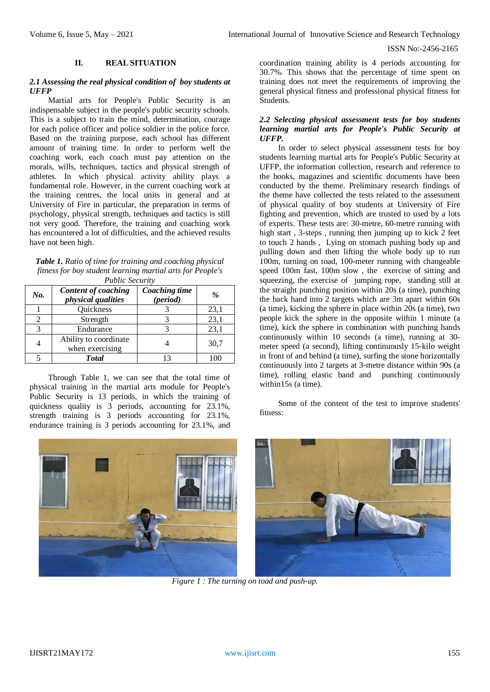ISSN No:-2456-2165

#### **II. REAL SITUATION**

#### *2.1 Assessing the real physical condition of boy students at UFFP*

Martial arts for People's Public Security is an indispensable subject in the people's public security schools. This is a subject to train the mind, determination, courage for each police officer and police soldier in the police force. Based on the training purpose, each school has different amount of training time. In order to perform well the coaching work, each coach must pay attention on the morals, wills, techniques, tactics and physical strength of athletes. In which physical activity ability plays a fundamental role. However, in the current coaching work at the training centres, the local units in general and at University of Fire in particular, the preparation in terms of psychology, physical strength, techniques and tactics is still not very good. Therefore, the training and coaching work has encountered a lot of difficulties, and the achieved results have not been high.

*Table 1. Ratio of time for training and coaching physical fitness for boy student learning martial arts for People's Public Security*

| No. | Content of coaching<br><i>physical qualities</i> | Coaching time<br>$(period)$ | $\%$ |  |
|-----|--------------------------------------------------|-----------------------------|------|--|
|     | Quickness                                        |                             | 23,1 |  |
|     | Strength                                         |                             |      |  |
| 3   | Endurance                                        |                             | 23,1 |  |
|     | Ability to coordinate<br>when exercising         |                             | 30,7 |  |
|     | <b>Total</b>                                     |                             |      |  |

Through Table 1, we can see that the total time of physical training in the martial arts module for People's Public Security is 13 periods, in which the training of quickness quality is 3 periods, accounting for 23.1%, strength training is 3 periods accounting for 23.1%, endurance training is 3 periods accounting for 23.1%, and



coordination training ability is 4 periods accounting for 30.7%. This shows that the percentage of time spent on training does not meet the requirements of improving the general physical fitness and professional physical fitness for Students.

### *2.2 Selecting physical assessment tests for boy students learning martial arts for People's Public Security at UFFP.*

In order to select physical assessment tests for boy students learning martial arts for People's Public Security at UFFP, the information collection, research and reference to the books, magazines and scientific documents have been conducted by the theme. Preliminary research findings of the theme have collected the tests related to the assessment of physical quality of boy students at University of Fire fighting and prevention, which are trusted to used by a lots of experts. These tests are: 30-metre, 60-metre running with high start , 3-steps , running then jumping up to kick 2 feet to touch 2 hands , Lying on stomach pushing body up and pulling down and then lifting the whole body up to run 100m, turning on toad, 100-meter running with changeable speed 100m fast, 100m slow , the exercise of sitting and squeezing, the exercise of jumping rope, standing still at the straight punching position within 20s (a time), punching the back hand into 2 targets which are 3m apart within 60s (a time), kicking the sphere in place within 20s (a time), two people kick the sphere in the opposite within 1 minute (a time), kick the sphere in combination with punching hands continuously within 10 seconds (a time), running at 30 meter speed (a second), lifting continuously 15-kilo weight in front of and behind (a time), surfing the stone horizontally continuously into 2 targets at 3-metre distance within 90s (a time), rolling elastic band and punching continuously within15s (a time).

Some of the content of the test to improve students' fitness:



*Figure 1 : The turning on toad and push-up.*